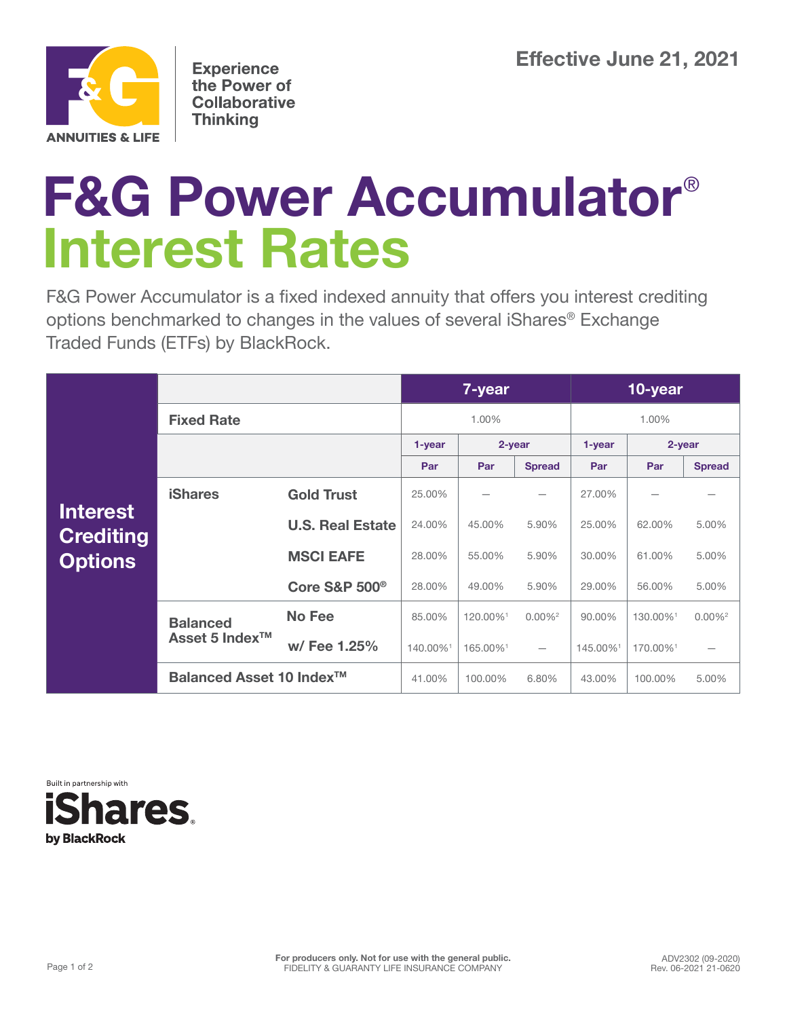

**Experience** the Power of **Collaborative Thinking** 

## **F&G Power Accumulator**® **Interest Rates**

F&G Power Accumulator is a fixed indexed annuity that offers you interest crediting options benchmarked to changes in the values of several iShares® Exchange Traded Funds (ETFs) by BlackRock.

|                                                       |                                               |                                     | 7-year   |          |                          | 10-year  |          |                       |
|-------------------------------------------------------|-----------------------------------------------|-------------------------------------|----------|----------|--------------------------|----------|----------|-----------------------|
| <b>Interest</b><br><b>Crediting</b><br><b>Options</b> | <b>Fixed Rate</b>                             |                                     | 1.00%    |          |                          | 1.00%    |          |                       |
|                                                       |                                               |                                     | 1-year   | 2-year   |                          | 1-year   | 2-year   |                       |
|                                                       |                                               |                                     | Par      | Par      | <b>Spread</b>            | Par      | Par      | <b>Spread</b>         |
|                                                       | <b>iShares</b>                                | <b>Gold Trust</b>                   | 25.00%   |          |                          | 27.00%   |          |                       |
|                                                       |                                               | <b>U.S. Real Estate</b>             | 24.00%   | 45.00%   | 5.90%                    | 25.00%   | 62.00%   | 5.00%                 |
|                                                       |                                               | <b>MSCI EAFE</b>                    | 28.00%   | 55.00%   | 5.90%                    | 30.00%   | 61.00%   | 5.00%                 |
|                                                       |                                               | <b>Core S&amp;P 500<sup>®</sup></b> | 28.00%   | 49.00%   | 5.90%                    | 29.00%   | 56.00%   | 5.00%                 |
|                                                       | <b>Balanced</b><br>Asset 5 Index <sup>™</sup> | <b>No Fee</b>                       | 85.00%   | 120.00%1 | $0.00\%$ <sup>2</sup>    | 90.00%   | 130.00%1 | $0.00\%$ <sup>2</sup> |
|                                                       |                                               | w/ Fee 1.25%                        | 140.00%1 | 165.00%1 | $\overline{\phantom{m}}$ | 145.00%1 | 170.00%1 |                       |
|                                                       | Balanced Asset 10 Index <sup>™</sup>          |                                     | 41.00%   | 100.00%  | 6.80%                    | 43.00%   | 100.00%  | 5.00%                 |

Built in partnership with